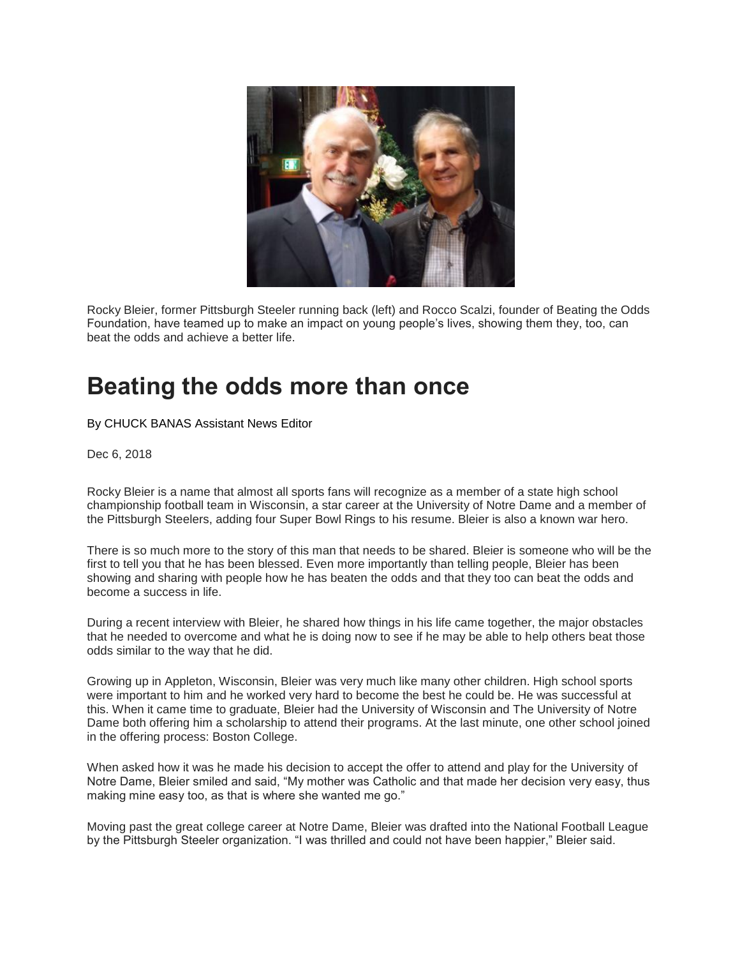

Rocky Bleier, former Pittsburgh Steeler running back (left) and Rocco Scalzi, founder of Beating the Odds Foundation, have teamed up to make an impact on young people's lives, showing them they, too, can beat the odds and achieve a better life.

## **Beating the odds more than once**

[By CHUCK BANAS Assistant News Editor](https://www.huntingdondailynews.com/users/profile/Chuck%20Banas) 

Dec 6, 2018

Rocky Bleier is a name that almost all sports fans will recognize as a member of a state high school championship football team in Wisconsin, a star career at the University of Notre Dame and a member of the Pittsburgh Steelers, adding four Super Bowl Rings to his resume. Bleier is also a known war hero.

There is so much more to the story of this man that needs to be shared. Bleier is someone who will be the first to tell you that he has been blessed. Even more importantly than telling people, Bleier has been showing and sharing with people how he has beaten the odds and that they too can beat the odds and become a success in life.

During a recent interview with Bleier, he shared how things in his life came together, the major obstacles that he needed to overcome and what he is doing now to see if he may be able to help others beat those odds similar to the way that he did.

Growing up in Appleton, Wisconsin, Bleier was very much like many other children. High school sports were important to him and he worked very hard to become the best he could be. He was successful at this. When it came time to graduate, Bleier had the University of Wisconsin and The University of Notre Dame both offering him a scholarship to attend their programs. At the last minute, one other school joined in the offering process: Boston College.

When asked how it was he made his decision to accept the offer to attend and play for the University of Notre Dame, Bleier smiled and said, "My mother was Catholic and that made her decision very easy, thus making mine easy too, as that is where she wanted me go."

Moving past the great college career at Notre Dame, Bleier was drafted into the National Football League by the Pittsburgh Steeler organization. "I was thrilled and could not have been happier," Bleier said.